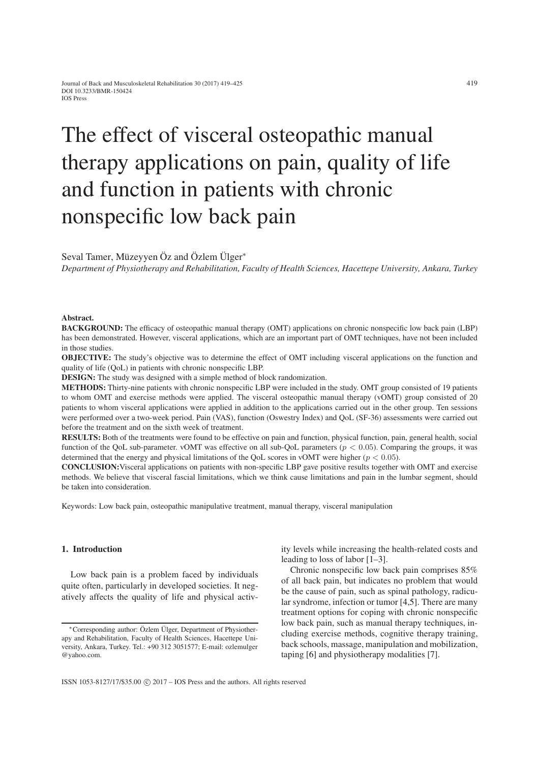# The effect of visceral osteopathic manual therapy applications on pain, quality of life and function in patients with chronic nonspecific low back pain

Seval Tamer, Müzeyyen Öz and Özlem Ülger∗

*Department of Physiotherapy and Rehabilitation, Faculty of Health Sciences, Hacettepe University, Ankara, Turkey*

#### Abstract.

BACKGROUND: The efficacy of osteopathic manual therapy (OMT) applications on chronic nonspecific low back pain (LBP) has been demonstrated. However, visceral applications, which are an important part of OMT techniques, have not been included in those studies.

OBJECTIVE: The study's objective was to determine the effect of OMT including visceral applications on the function and quality of life (QoL) in patients with chronic nonspecific LBP.

DESIGN: The study was designed with a simple method of block randomization.

METHODS: Thirty-nine patients with chronic nonspecific LBP were included in the study. OMT group consisted of 19 patients to whom OMT and exercise methods were applied. The visceral osteopathic manual therapy (vOMT) group consisted of 20 patients to whom visceral applications were applied in addition to the applications carried out in the other group. Ten sessions were performed over a two-week period. Pain (VAS), function (Oswestry Index) and QoL (SF-36) assessments were carried out before the treatment and on the sixth week of treatment.

RESULTS: Both of the treatments were found to be effective on pain and function, physical function, pain, general health, social function of the QoL sub-parameter. vOMT was effective on all sub-QoL parameters ( $p < 0.05$ ). Comparing the groups, it was determined that the energy and physical limitations of the QoL scores in vOMT were higher (*p <* 0*.*05).

CONCLUSION:Visceral applications on patients with non-specific LBP gave positive results together with OMT and exercise methods. We believe that visceral fascial limitations, which we think cause limitations and pain in the lumbar segment, should be taken into consideration.

Keywords: Low back pain, osteopathic manipulative treatment, manual therapy, visceral manipulation

## 1. Introduction

Low back pain is a problem faced by individuals quite often, particularly in developed societies. It negatively affects the quality of life and physical activity levels while increasing the health-related costs and leading to loss of labor [1–3].

Chronic nonspecific low back pain comprises 85% of all back pain, but indicates no problem that would be the cause of pain, such as spinal pathology, radicular syndrome, infection or tumor [4,5]. There are many treatment options for coping with chronic nonspecific low back pain, such as manual therapy techniques, including exercise methods, cognitive therapy training, back schools, massage, manipulation and mobilization, taping [6] and physiotherapy modalities [7].

<sup>∗</sup>Corresponding author: Özlem Ülger, Department of Physiotherapy and Rehabilitation, Faculty of Health Sciences, Hacettepe University, Ankara, Turkey. Tel.: +90 312 3051577; E-mail: ozlemulger @yahoo.com.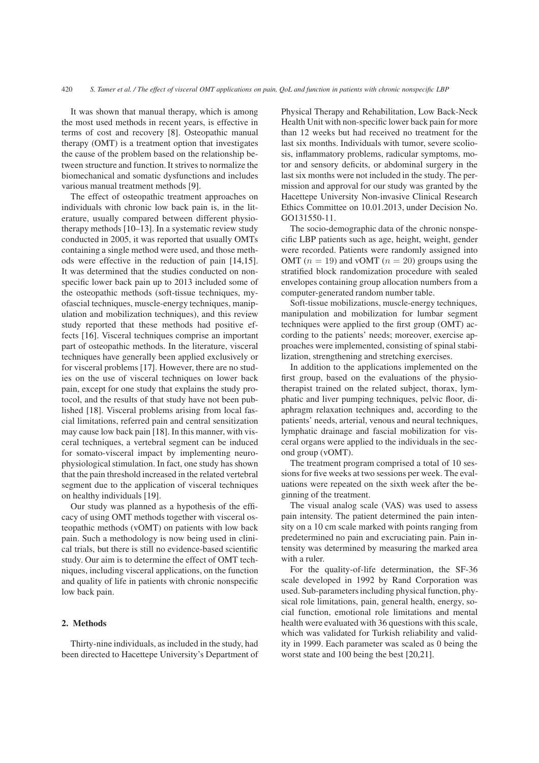It was shown that manual therapy, which is among the most used methods in recent years, is effective in terms of cost and recovery [8]. Osteopathic manual therapy (OMT) is a treatment option that investigates the cause of the problem based on the relationship between structure and function. It strives to normalize the biomechanical and somatic dysfunctions and includes various manual treatment methods [9].

The effect of osteopathic treatment approaches on individuals with chronic low back pain is, in the literature, usually compared between different physiotherapy methods [10–13]. In a systematic review study conducted in 2005, it was reported that usually OMTs containing a single method were used, and those methods were effective in the reduction of pain [14,15]. It was determined that the studies conducted on nonspecific lower back pain up to 2013 included some of the osteopathic methods (soft-tissue techniques, myofascial techniques, muscle-energy techniques, manipulation and mobilization techniques), and this review study reported that these methods had positive effects [16]. Visceral techniques comprise an important part of osteopathic methods. In the literature, visceral techniques have generally been applied exclusively or for visceral problems [17]. However, there are no studies on the use of visceral techniques on lower back pain, except for one study that explains the study protocol, and the results of that study have not been published [18]. Visceral problems arising from local fascial limitations, referred pain and central sensitization may cause low back pain [18]. In this manner, with visceral techniques, a vertebral segment can be induced for somato-visceral impact by implementing neurophysiological stimulation. In fact, one study has shown that the pain threshold increased in the related vertebral segment due to the application of visceral techniques on healthy individuals [19].

Our study was planned as a hypothesis of the efficacy of using OMT methods together with visceral osteopathic methods (vOMT) on patients with low back pain. Such a methodology is now being used in clinical trials, but there is still no evidence-based scientific study. Our aim is to determine the effect of OMT techniques, including visceral applications, on the function and quality of life in patients with chronic nonspecific low back pain.

# 2. Methods

Thirty-nine individuals, as included in the study, had been directed to Hacettepe University's Department of Physical Therapy and Rehabilitation, Low Back-Neck Health Unit with non-specific lower back pain for more than 12 weeks but had received no treatment for the last six months. Individuals with tumor, severe scoliosis, inflammatory problems, radicular symptoms, motor and sensory deficits, or abdominal surgery in the last six months were not included in the study. The permission and approval for our study was granted by the Hacettepe University Non-invasive Clinical Research Ethics Committee on 10.01.2013, under Decision No. GO131550-11.

The socio-demographic data of the chronic nonspecific LBP patients such as age, height, weight, gender were recorded. Patients were randomly assigned into OMT  $(n = 19)$  and vOMT  $(n = 20)$  groups using the stratified block randomization procedure with sealed envelopes containing group allocation numbers from a computer-generated random number table.

Soft-tissue mobilizations, muscle-energy techniques, manipulation and mobilization for lumbar segment techniques were applied to the first group (OMT) according to the patients' needs; moreover, exercise approaches were implemented, consisting of spinal stabilization, strengthening and stretching exercises.

In addition to the applications implemented on the first group, based on the evaluations of the physiotherapist trained on the related subject, thorax, lymphatic and liver pumping techniques, pelvic floor, diaphragm relaxation techniques and, according to the patients' needs, arterial, venous and neural techniques, lymphatic drainage and fascial mobilization for visceral organs were applied to the individuals in the second group (vOMT).

The treatment program comprised a total of 10 sessions for five weeks at two sessions per week. The evaluations were repeated on the sixth week after the beginning of the treatment.

The visual analog scale (VAS) was used to assess pain intensity. The patient determined the pain intensity on a 10 cm scale marked with points ranging from predetermined no pain and excruciating pain. Pain intensity was determined by measuring the marked area with a ruler.

For the quality-of-life determination, the SF-36 scale developed in 1992 by Rand Corporation was used. Sub-parameters including physical function, physical role limitations, pain, general health, energy, social function, emotional role limitations and mental health were evaluated with 36 questions with this scale, which was validated for Turkish reliability and validity in 1999. Each parameter was scaled as 0 being the worst state and 100 being the best [20,21].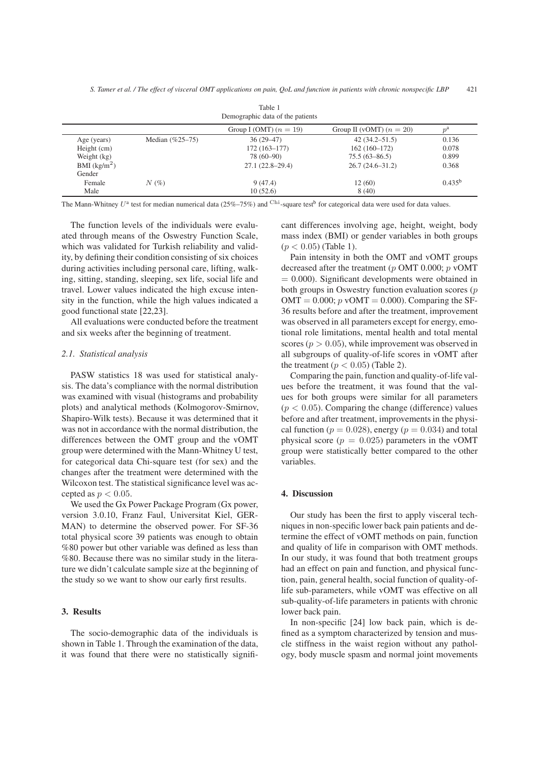| Table 1<br>Demographic data of the patients |                    |                          |                            |             |  |
|---------------------------------------------|--------------------|--------------------------|----------------------------|-------------|--|
|                                             |                    | Group I (OMT) $(n = 19)$ | Group II (vOMT) $(n = 20)$ | $n^{\rm a}$ |  |
| Age (years)                                 | Median $(\%25-75)$ | $36(29-47)$              | $42(34.2 - 51.5)$          | 0.136       |  |
| Height (cm)                                 |                    | $172(163 - 177)$         | $162(160-172)$             | 0.078       |  |
| Weight (kg)                                 |                    | 78 (60-90)               | $75.5(63 - 86.5)$          | 0.899       |  |
| BMI $(kg/m2)$                               |                    | $27.1(22.8-29.4)$        | $26.7(24.6-31.2)$          | 0.368       |  |
| Gender                                      |                    |                          |                            |             |  |
| Female                                      | $N(\%)$            | 9(47.4)                  | 12(60)                     | $0.435^{b}$ |  |
| Male                                        |                    | 10(52.6)                 | 8(40)                      |             |  |

The Mann-Whitney *U*<sup>a</sup> test for median numerical data (25%–75%) and <sup>Chi</sup>-square test<sup>b</sup> for categorical data were used for data values.

The function levels of the individuals were evaluated through means of the Oswestry Function Scale, which was validated for Turkish reliability and validity, by defining their condition consisting of six choices during activities including personal care, lifting, walking, sitting, standing, sleeping, sex life, social life and travel. Lower values indicated the high excuse intensity in the function, while the high values indicated a good functional state [22,23].

All evaluations were conducted before the treatment and six weeks after the beginning of treatment.

## *2.1. Statistical analysis*

PASW statistics 18 was used for statistical analysis. The data's compliance with the normal distribution was examined with visual (histograms and probability plots) and analytical methods (Kolmogorov-Smirnov, Shapiro-Wilk tests). Because it was determined that it was not in accordance with the normal distribution, the differences between the OMT group and the vOMT group were determined with the Mann-Whitney U test, for categorical data Chi-square test (for sex) and the changes after the treatment were determined with the Wilcoxon test. The statistical significance level was accepted as  $p < 0.05$ .

We used the Gx Power Package Program (Gx power, version 3.0.10, Franz Faul, Universitat Kiel, GER-MAN) to determine the observed power. For SF-36 total physical score 39 patients was enough to obtain %80 power but other variable was defined as less than %80. Because there was no similar study in the literature we didn't calculate sample size at the beginning of the study so we want to show our early first results.

# 3. Results

The socio-demographic data of the individuals is shown in Table 1. Through the examination of the data, it was found that there were no statistically significant differences involving age, height, weight, body mass index (BMI) or gender variables in both groups  $(p < 0.05)$  (Table 1).

Pain intensity in both the OMT and vOMT groups decreased after the treatment (*p* OMT 0.000; *p* vOMT  $= 0.000$ ). Significant developments were obtained in both groups in Oswestry function evaluation scores (*p*  $OMT = 0.000$ ;  $p \text{ vOMT} = 0.000$ ). Comparing the SF-36 results before and after the treatment, improvement was observed in all parameters except for energy, emotional role limitations, mental health and total mental scores ( $p > 0.05$ ), while improvement was observed in all subgroups of quality-of-life scores in vOMT after the treatment ( $p < 0.05$ ) (Table 2).

Comparing the pain, function and quality-of-life values before the treatment, it was found that the values for both groups were similar for all parameters  $(p < 0.05)$ . Comparing the change (difference) values before and after treatment, improvements in the physical function ( $p = 0.028$ ), energy ( $p = 0.034$ ) and total physical score ( $p = 0.025$ ) parameters in the vOMT group were statistically better compared to the other variables.

# 4. Discussion

Our study has been the first to apply visceral techniques in non-specific lower back pain patients and determine the effect of vOMT methods on pain, function and quality of life in comparison with OMT methods. In our study, it was found that both treatment groups had an effect on pain and function, and physical function, pain, general health, social function of quality-oflife sub-parameters, while vOMT was effective on all sub-quality-of-life parameters in patients with chronic lower back pain.

In non-specific [24] low back pain, which is defined as a symptom characterized by tension and muscle stiffness in the waist region without any pathology, body muscle spasm and normal joint movements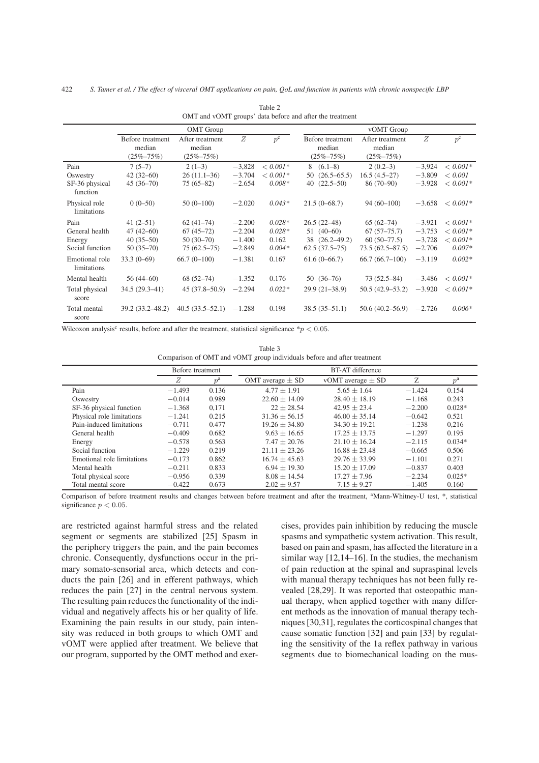| OMT and vOMT groups' data before and after the treatment |                                               |                                              |          |             |                                               |                                              |          |             |
|----------------------------------------------------------|-----------------------------------------------|----------------------------------------------|----------|-------------|-----------------------------------------------|----------------------------------------------|----------|-------------|
|                                                          | <b>OMT</b> Group                              |                                              |          |             | vOMT Group                                    |                                              |          |             |
|                                                          | Before treatment<br>median<br>$(25\% - 75\%)$ | After treatment<br>median<br>$(25\% - 75\%)$ | Z        | $p^{\rm c}$ | Before treatment<br>median<br>$(25\% - 75\%)$ | After treatment<br>median<br>$(25\% - 75\%)$ | Z        | $p^{\rm c}$ |
| Pain                                                     | $7(5-7)$                                      | $2(1-3)$                                     | $-3,828$ | $< 0.001*$  | $8(6.1-8)$                                    | $2(0.2-3)$                                   | $-3,924$ | $< 0.001*$  |
| Oswestry                                                 | $42(32-60)$                                   | $26(11.1-36)$                                | $-3.704$ | $< 0.001*$  | $50(26.5-65.5)$                               | $16.5(4.5-27)$                               | $-3.809$ | < 0.001     |
| SF-36 physical<br>function                               | $45(36-70)$                                   | $75(65-82)$                                  | $-2.654$ | $0.008*$    | $(22.5-50)$<br>40                             | $86(70-90)$                                  | $-3.928$ | $< 0.001*$  |
| Physical role<br>limitations                             | $0(0-50)$                                     | $50(0-100)$                                  | $-2.020$ | $0.043*$    | $21.5(0-68.7)$                                | $94(60-100)$                                 | $-3.658$ | $< 0.001*$  |
| Pain                                                     | $41(2-51)$                                    | $62(41-74)$                                  | $-2.200$ | $0.028*$    | $26.5(22-48)$                                 | $65(62-74)$                                  | $-3.921$ | $< 0.001*$  |
| General health                                           | $47(42 - 60)$                                 | $67(45-72)$                                  | $-2.204$ | $0.028*$    | $51(40-60)$                                   | $67(57-75.7)$                                | $-3.753$ | $< 0.001*$  |
| Energy                                                   | $40(35-50)$                                   | $50(30-70)$                                  | $-1.400$ | 0.162       | 38 (26.2–49.2)                                | $60(50-77.5)$                                | $-3,728$ | $< 0.001*$  |
| Social function                                          | $50(35-70)$                                   | $75(62.5-75)$                                | $-2.849$ | $0.004*$    | $62.5(37.5-75)$                               | $73.5(62.5 - 87.5)$                          | $-2.706$ | $0.007*$    |
| Emotional role<br>limitations                            | $33.3(0-69)$                                  | $66.7(0-100)$                                | $-1.381$ | 0.167       | $61.6(0-66.7)$                                | $66.7(66.7-100)$                             | $-3.119$ | $0.002*$    |
| Mental health                                            | $56(44-60)$                                   | $68(52-74)$                                  | $-1.352$ | 0.176       | $50(36-76)$                                   | $73(52.5 - 84)$                              | $-3.486$ | $< 0.001*$  |
| Total physical<br>score                                  | $34.5(29.3-41)$                               | $45(37.8 - 50.9)$                            | $-2.294$ | $0.022*$    | $29.9(21-38.9)$                               | $50.5(42.9-53.2)$                            | $-3.920$ | $< 0.001*$  |
| Total mental<br>score                                    | $39.2(33.2 - 48.2)$                           | $40.5(33.5-52.1)$                            | $-1.288$ | 0.198       | $38.5(35-51.1)$                               | $50.6(40.2 - 56.9)$                          | $-2.726$ | $0.006*$    |

Table 2 OMT and vOMT groups' data before and after the treatment

Wilcoxon analysis<sup>c</sup> results, before and after the treatment, statistical significance  $*p < 0.05$ .

Table 3 Comparison of OMT and vOMT group individuals before and after treatment

|                            | Before treatment |             | <b>BT-AT</b> difference |                       |          |             |
|----------------------------|------------------|-------------|-------------------------|-----------------------|----------|-------------|
|                            | Ζ                | $p^{\rm a}$ | OMT average $\pm$ SD    | vOMT average $\pm$ SD | Ζ        | $p^{\rm a}$ |
| Pain                       | $-1.493$         | 0.136       | $4.77 + 1.91$           | $5.65 + 1.64$         | $-1.424$ | 0.154       |
| Oswestry                   | $-0.014$         | 0.989       | $22.60 \pm 14.09$       | $28.40 \pm 18.19$     | $-1.168$ | 0.243       |
| SF-36 physical function    | $-1.368$         | 0.171       | $22 + 28.54$            | $42.95 + 23.4$        | $-2.200$ | $0.028*$    |
| Physical role limitations  | $-1.241$         | 0.215       | $31.36 \pm 56.15$       | $46.00 \pm 35.14$     | $-0.642$ | 0.521       |
| Pain-induced limitations   | $-0.711$         | 0.477       | $19.26 + 34.80$         | $34.30 \pm 19.21$     | $-1.238$ | 0.216       |
| General health             | $-0.409$         | 0.682       | $9.63 + 16.65$          | $17.25 + 13.75$       | $-1.297$ | 0.195       |
| Energy                     | $-0.578$         | 0.563       | $7.47 \pm 20.76$        | $21.10 + 16.24$       | $-2.115$ | $0.034*$    |
| Social function            | $-1.229$         | 0.219       | $21.11 + 23.26$         | $16.88 + 23.48$       | $-0.665$ | 0.506       |
| Emotional role limitations | $-0.173$         | 0.862       | $16.74 \pm 45.63$       | $29.76 \pm 33.99$     | $-1.101$ | 0.271       |
| Mental health              | $-0.211$         | 0.833       | $6.94 \pm 19.30$        | $15.20 \pm 17.09$     | $-0.837$ | 0.403       |
| Total physical score       | $-0.956$         | 0.339       | $8.08 \pm 14.54$        | $17.27 \pm 7.96$      | $-2.234$ | $0.025*$    |
| Total mental score         | $-0.422$         | 0.673       | $2.02 \pm 9.57$         | $7.15 \pm 9.27$       | $-1.405$ | 0.160       |

Comparison of before treatment results and changes between before treatment and after the treatment, <sup>a</sup>Mann-Whitney-U test, \*, statistical significance  $p < 0.05$ .

are restricted against harmful stress and the related segment or segments are stabilized [25] Spasm in the periphery triggers the pain, and the pain becomes chronic. Consequently, dysfunctions occur in the primary somato-sensorial area, which detects and conducts the pain [26] and in efferent pathways, which reduces the pain [27] in the central nervous system. The resulting pain reduces the functionality of the individual and negatively affects his or her quality of life. Examining the pain results in our study, pain intensity was reduced in both groups to which OMT and vOMT were applied after treatment. We believe that our program, supported by the OMT method and exercises, provides pain inhibition by reducing the muscle spasms and sympathetic system activation. This result, based on pain and spasm, has affected the literature in a similar way [12,14–16]. In the studies, the mechanism of pain reduction at the spinal and supraspinal levels with manual therapy techniques has not been fully revealed [28,29]. It was reported that osteopathic manual therapy, when applied together with many different methods as the innovation of manual therapy techniques [30,31], regulates the corticospinal changes that cause somatic function [32] and pain [33] by regulating the sensitivity of the 1a reflex pathway in various segments due to biomechanical loading on the mus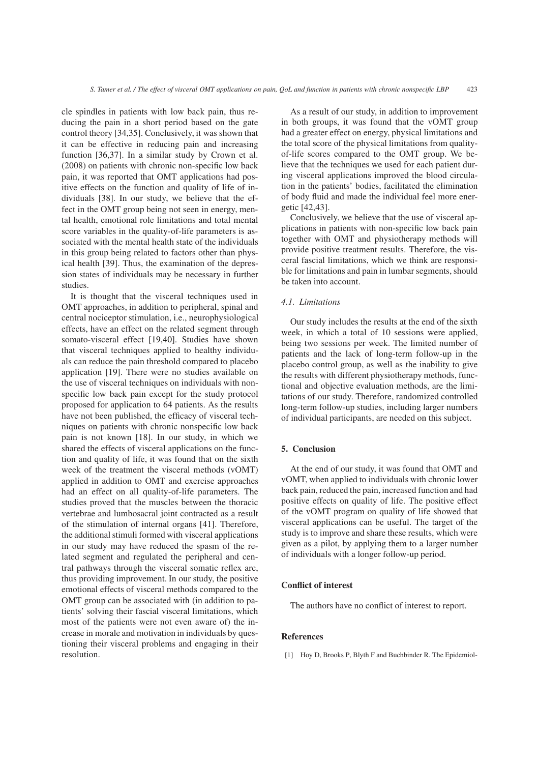cle spindles in patients with low back pain, thus reducing the pain in a short period based on the gate control theory [34,35]. Conclusively, it was shown that it can be effective in reducing pain and increasing function [36,37]. In a similar study by Crown et al. (2008) on patients with chronic non-specific low back pain, it was reported that OMT applications had positive effects on the function and quality of life of individuals [38]. In our study, we believe that the effect in the OMT group being not seen in energy, mental health, emotional role limitations and total mental score variables in the quality-of-life parameters is associated with the mental health state of the individuals in this group being related to factors other than physical health [39]. Thus, the examination of the depression states of individuals may be necessary in further studies.

It is thought that the visceral techniques used in OMT approaches, in addition to peripheral, spinal and central nociceptor stimulation, i.e., neurophysiological effects, have an effect on the related segment through somato-visceral effect [19,40]. Studies have shown that visceral techniques applied to healthy individuals can reduce the pain threshold compared to placebo application [19]. There were no studies available on the use of visceral techniques on individuals with nonspecific low back pain except for the study protocol proposed for application to 64 patients. As the results have not been published, the efficacy of visceral techniques on patients with chronic nonspecific low back pain is not known [18]. In our study, in which we shared the effects of visceral applications on the function and quality of life, it was found that on the sixth week of the treatment the visceral methods (vOMT) applied in addition to OMT and exercise approaches had an effect on all quality-of-life parameters. The studies proved that the muscles between the thoracic vertebrae and lumbosacral joint contracted as a result of the stimulation of internal organs [41]. Therefore, the additional stimuli formed with visceral applications in our study may have reduced the spasm of the related segment and regulated the peripheral and central pathways through the visceral somatic reflex arc, thus providing improvement. In our study, the positive emotional effects of visceral methods compared to the OMT group can be associated with (in addition to patients' solving their fascial visceral limitations, which most of the patients were not even aware of) the increase in morale and motivation in individuals by questioning their visceral problems and engaging in their resolution.

As a result of our study, in addition to improvement in both groups, it was found that the vOMT group had a greater effect on energy, physical limitations and the total score of the physical limitations from qualityof-life scores compared to the OMT group. We believe that the techniques we used for each patient during visceral applications improved the blood circulation in the patients' bodies, facilitated the elimination of body fluid and made the individual feel more energetic [42,43].

Conclusively, we believe that the use of visceral applications in patients with non-specific low back pain together with OMT and physiotherapy methods will provide positive treatment results. Therefore, the visceral fascial limitations, which we think are responsible for limitations and pain in lumbar segments, should be taken into account.

## *4.1. Limitations*

Our study includes the results at the end of the sixth week, in which a total of 10 sessions were applied, being two sessions per week. The limited number of patients and the lack of long-term follow-up in the placebo control group, as well as the inability to give the results with different physiotherapy methods, functional and objective evaluation methods, are the limitations of our study. Therefore, randomized controlled long-term follow-up studies, including larger numbers of individual participants, are needed on this subject.

## 5. Conclusion

At the end of our study, it was found that OMT and vOMT, when applied to individuals with chronic lower back pain, reduced the pain, increased function and had positive effects on quality of life. The positive effect of the vOMT program on quality of life showed that visceral applications can be useful. The target of the study is to improve and share these results, which were given as a pilot, by applying them to a larger number of individuals with a longer follow-up period.

## Conflict of interest

The authors have no conflict of interest to report.

## References

[1] Hoy D, Brooks P, Blyth F and Buchbinder R. The Epidemiol-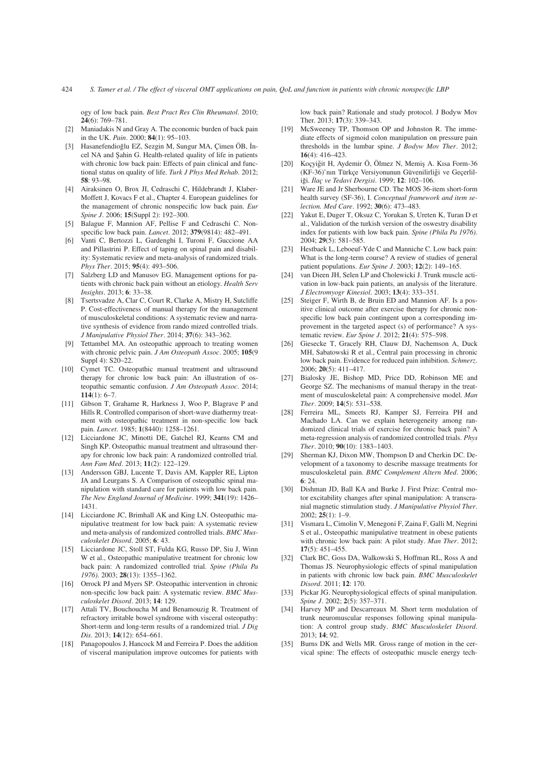ogy of low back pain. *Best Pract Res Clin Rheumatol*. 2010; 24(6): 769–781.

- [2] Maniadakis N and Gray A. The economic burden of back pain in the UK. *Pain*. 2000; 84(1): 95–103.
- [3] Hasanefendioğlu EZ, Sezgin M, Sungur MA, Çimen ÖB, İncel NA and Şahin G. Health-related quality of life in patients with chronic low back pain: Effects of pain clinical and functional status on quality of life. *Turk J Phys Med Rehab*. 2012; 58: 93–98.
- [4] Airaksinen O, Brox JI, Cedraschi C, Hildebrandt J, Klaber-Moffett J, Kovacs F et al., Chapter 4. European guidelines for the management of chronic nonspecific low back pain. *Eur Spine J*. 2006; 15(Suppl 2): 192–300.
- [5] Balague F, Mannion AF, Pellise F and Cedraschi C. Nonspecific low back pain. *Lancet*. 2012; 379(9814): 482–491.
- [6] Vanti C, Bertozzi L, Gardenghi I, Turoni F, Guccione AA and Pillastrini P. Effect of taping on spinal pain and disability: Systematic review and meta-analysis of randomized trials. *Phys Ther*. 2015; 95(4): 493–506.
- [7] Salzberg LD and Manusov EG. Management options for patients with chronic back pain without an etiology. *Health Serv Insights*. 2013; 6: 33–38.
- [8] Tsertsvadze A, Clar C, Court R, Clarke A, Mistry H, Sutcliffe P. Cost-effectiveness of manual therapy for the management of musculoskeletal conditions: A systematic review and narrative synthesis of evidence from rando mized controlled trials. *J Manipulative Physiol Ther*. 2014; 37(6): 343–362.
- [9] Tettambel MA. An osteopathic approach to treating women with chronic pelvic pain. *J Am Osteopath Assoc*. 2005; 105(9 Suppl 4): S20-22.
- [10] Cymet TC. Osteopathic manual treatment and ultrasound therapy for chronic low back pain: An illustration of osteopathic semantic confusion. *J Am Osteopath Assoc*. 2014;  $114(1) \cdot 6-7$
- [11] Gibson T, Grahame R, Harkness J, Woo P, Blagrave P and Hills R. Controlled comparison of short-wave diathermy treatment with osteopathic treatment in non-specific low back pain. *Lancet*. 1985; 1(8440): 1258–1261.
- [12] Licciardone JC, Minotti DE, Gatchel RJ, Kearns CM and Singh KP. Osteopathic manual treatment and ultrasound therapy for chronic low back pain: A randomized controlled trial. *Ann Fam Med*. 2013; 11(2): 122–129.
- [13] Andersson GBJ, Lucente T, Davis AM, Kappler RE, Lipton JA and Leurgans S. A Comparison of osteopathic spinal manipulation with standard care for patients with low back pain. *The New England Journal of Medicine*. 1999; 341(19): 1426– 1431.
- [14] Licciardone JC, Brimhall AK and King LN. Osteopathic manipulative treatment for low back pain: A systematic review and meta-analysis of randomized controlled trials. *BMC Musculoskelet Disord*. 2005; 6: 43.
- [15] Licciardone JC, Stoll ST, Fulda KG, Russo DP, Siu J, Winn W et al., Osteopathic manipulative treatment for chronic low back pain: A randomized controlled trial. *Spine (Phila Pa 1976)*. 2003; 28(13): 1355–1362.
- [16] Orrock PJ and Myers SP. Osteopathic intervention in chronic non-specific low back pain: A systematic review. *BMC Musculoskelet Disord*. 2013; 14: 129.
- [17] Attali TV, Bouchoucha M and Benamouzig R. Treatment of refractory irritable bowel syndrome with visceral osteopathy: Short-term and long-term results of a randomized trial. *J Dig Dis*. 2013; 14(12): 654–661.
- [18] Panagopoulos J, Hancock M and Ferreira P. Does the addition of visceral manipulation improve outcomes for patients with

low back pain? Rationale and study protocol. J Bodyw Mov Ther. 2013; 17(3): 339–343.

- [19] McSweeney TP, Thomson OP and Johnston R. The immediate effects of sigmoid colon manipulation on pressure pain thresholds in the lumbar spine. *J Bodyw Mov Ther*. 2012; 16(4): 416–423.
- [20] Koçyiğit H, Aydemir Ö, Ölmez N, Memiş A. Kısa Form-36 (KF-36)'nın Türkçe Versiyonunun Güvenilirliği ve Geçerliliği. İlaç ve Tedavi Dergisi. 1999; 12: 102-106.
- [21] Ware JE and Jr Sherbourne CD. The MOS 36-item short-form health survey (SF-36), I. *Conceptual framework and item selection. Med Care*. 1992; 30(6): 473–483.
- [22] Yakut E, Duger T, Oksuz C, Yorukan S, Ureten K, Turan D et al., Validation of the turkish version of the oswestry disability index for patients with low back pain. *Spine (Phila Pa 1976)*. 2004; 29(5): 581–585.
- [23] Hestbaek L, Leboeuf-Yde C and Manniche C. Low back pain: What is the long-term course? A review of studies of general patient populations. *Eur Spine J*. 2003; 12(2): 149–165.
- [24] van Dieen JH, Selen LP and Cholewicki J. Trunk muscle activation in low-back pain patients, an analysis of the literature. *J Electromyogr Kinesiol*. 2003; 13(4): 333–351.
- [25] Steiger F, Wirth B, de Bruin ED and Mannion AF. Is a positive clinical outcome after exercise therapy for chronic nonspecific low back pain contingent upon a corresponding improvement in the targeted aspect (s) of performance? A systematic review. *Eur Spine J*. 2012; 21(4): 575–598.
- [26] Giesecke T, Gracely RH, Clauw DJ, Nachemson A, Duck MH, Sabatowski R et al., Central pain processing in chronic low back pain. Evidence for reduced pain inhibition. *Schmerz*. 2006; 20(5): 411–417.
- [27] Bialosky JE, Bishop MD, Price DD, Robinson ME and George SZ. The mechanisms of manual therapy in the treatment of musculoskeletal pain: A comprehensive model. *Man Ther*. 2009; 14(5): 531–538.
- [28] Ferreira ML, Smeets RJ, Kamper SJ, Ferreira PH and Machado LA. Can we explain heterogeneity among randomized clinical trials of exercise for chronic back pain? A meta-regression analysis of randomized controlled trials. *Phys Ther*. 2010; 90(10): 1383–1403.
- [29] Sherman KJ, Dixon MW, Thompson D and Cherkin DC. Development of a taxonomy to describe massage treatments for musculoskeletal pain. *BMC Complement Altern Med*. 2006; 6: 24.
- [30] Dishman JD, Ball KA and Burke J. First Prize: Central motor excitability changes after spinal manipulation: A transcranial magnetic stimulation study. *J Manipulative Physiol Ther*. 2002; 25(1): 1–9.
- [31] Vismara L, Cimolin V, Menegoni F, Zaina F, Galli M, Negrini S et al., Osteopathic manipulative treatment in obese patients with chronic low back pain: A pilot study. *Man Ther*. 2012; 17(5): 451–455.
- [32] Clark BC, Goss DA, Walkowski S, Hoffman RL, Ross A and Thomas JS. Neurophysiologic effects of spinal manipulation in patients with chronic low back pain. *BMC Musculoskelet Disord*. 2011; 12: 170.
- [33] Pickar JG. Neurophysiological effects of spinal manipulation. *Spine J*. 2002; 2(5): 357–371.
- [34] Harvey MP and Descarreaux M. Short term modulation of trunk neuromuscular responses following spinal manipulation: A control group study. *BMC Musculoskelet Disord*. 2013; 14; 92.
- [35] Burns DK and Wells MR. Gross range of motion in the cervical spine: The effects of osteopathic muscle energy tech-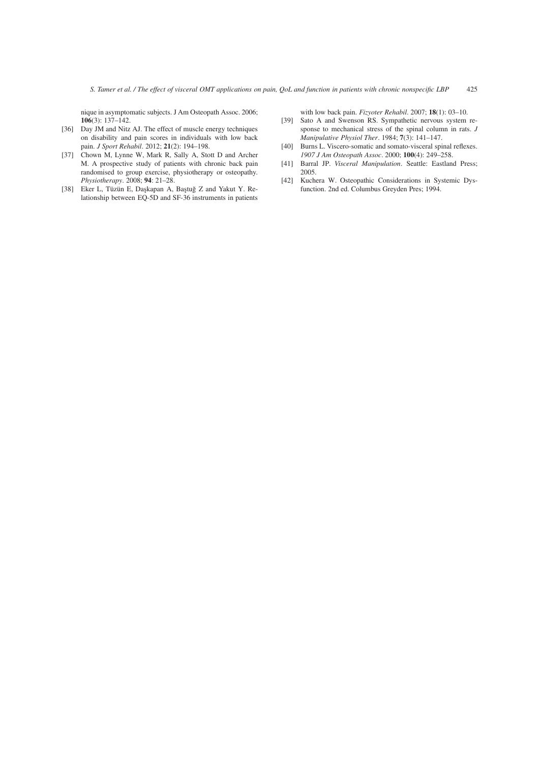nique in asymptomatic subjects. J Am Osteopath Assoc. 2006; 106(3): 137–142.

- [36] Day JM and Nitz AJ. The effect of muscle energy techniques on disability and pain scores in individuals with low back pain. *J Sport Rehabil*. 2012; 21(2): 194–198.
- [37] Chown M, Lynne W, Mark R, Sally A, Stott D and Archer M. A prospective study of patients with chronic back pain randomised to group exercise, physiotherapy or osteopathy. *Physiotherapy*. 2008; 94: 21–28.
- [38] Eker L, Tüzün E, Daşkapan A, Baştuğ Z and Yakut Y. Relationship between EQ-5D and SF-36 instruments in patients

with low back pain. *Fizyoter Rehabil*. 2007; 18(1): 03–10.

- [39] Sato A and Swenson RS. Sympathetic nervous system response to mechanical stress of the spinal column in rats. *J Manipulative Physiol Ther*. 1984; 7(3): 141–147.
- [40] Burns L. Viscero-somatic and somato-visceral spinal reflexes. *1907 J Am Osteopath Assoc*. 2000; 100(4): 249–258.
- [41] Barral JP. *Visceral Manipulation*. Seattle: Eastland Press; 2005.
- [42] Kuchera W. Osteopathic Considerations in Systemic Dysfunction. 2nd ed. Columbus Greyden Pres; 1994.